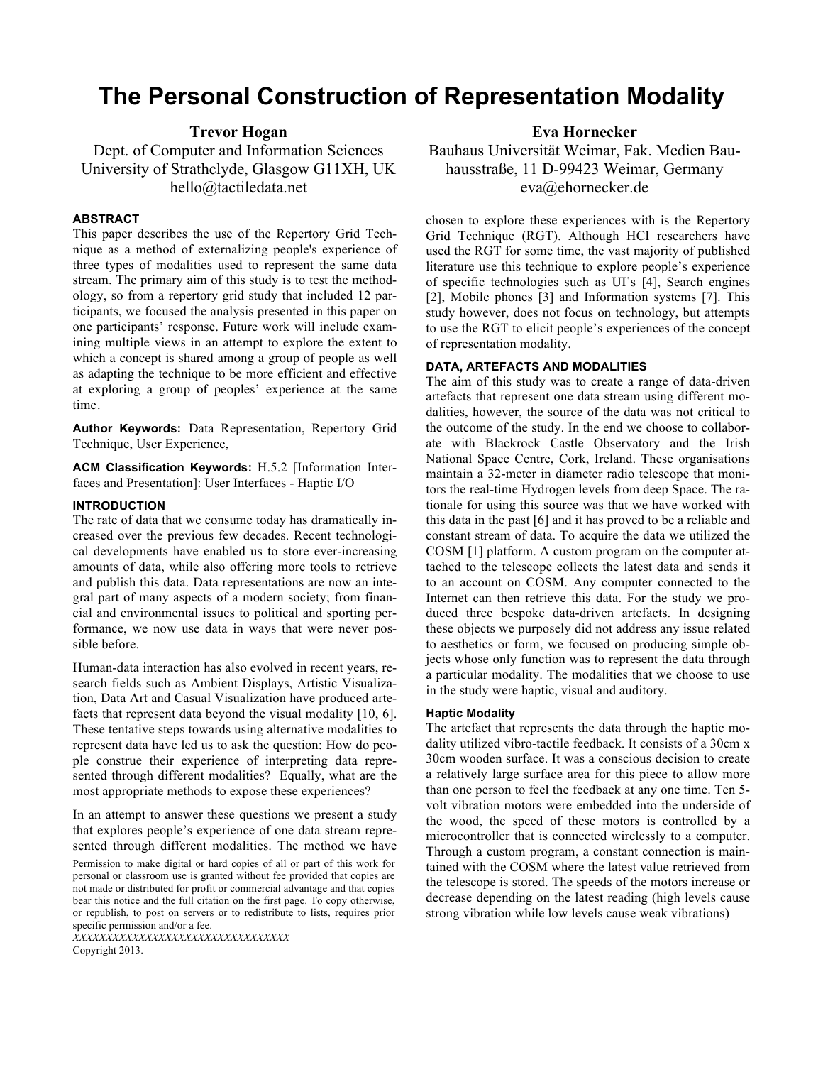# **The Personal Construction of Representation Modality**

# **Trevor Hogan**

Dept. of Computer and Information Sciences University of Strathclyde, Glasgow G11XH, UK hello@tactiledata.net

#### **ABSTRACT**

This paper describes the use of the Repertory Grid Technique as a method of externalizing people's experience of three types of modalities used to represent the same data stream. The primary aim of this study is to test the methodology, so from a repertory grid study that included 12 participants, we focused the analysis presented in this paper on one participants' response. Future work will include examining multiple views in an attempt to explore the extent to which a concept is shared among a group of people as well as adapting the technique to be more efficient and effective at exploring a group of peoples' experience at the same time.

**Author Keywords:** Data Representation, Repertory Grid Technique, User Experience,

**ACM Classification Keywords:** H.5.2 [Information Interfaces and Presentation]: User Interfaces - Haptic I/O

#### **INTRODUCTION**

The rate of data that we consume today has dramatically increased over the previous few decades. Recent technological developments have enabled us to store ever-increasing amounts of data, while also offering more tools to retrieve and publish this data. Data representations are now an integral part of many aspects of a modern society; from financial and environmental issues to political and sporting performance, we now use data in ways that were never possible before.

Human-data interaction has also evolved in recent years, research fields such as Ambient Displays, Artistic Visualization, Data Art and Casual Visualization have produced artefacts that represent data beyond the visual modality [10, 6]. These tentative steps towards using alternative modalities to represent data have led us to ask the question: How do people construe their experience of interpreting data represented through different modalities? Equally, what are the most appropriate methods to expose these experiences?

In an attempt to answer these questions we present a study that explores people's experience of one data stream represented through different modalities. The method we have

Permission to make digital or hard copies of all or part of this work for personal or classroom use is granted without fee provided that copies are not made or distributed for profit or commercial advantage and that copies bear this notice and the full citation on the first page. To copy otherwise, or republish, to post on servers or to redistribute to lists, requires prior specific permission and/or a fee.

*XXXXXXXXXXXXXXXXXXXXXXXXXXXXXXXXX* Copyright 2013.

**Eva Hornecker**

Bauhaus Universität Weimar, Fak. Medien Bauhausstraße, 11 D-99423 Weimar, Germany eva@ehornecker.de

chosen to explore these experiences with is the Repertory Grid Technique (RGT). Although HCI researchers have used the RGT for some time, the vast majority of published literature use this technique to explore people's experience of specific technologies such as UI's [4], Search engines [2], Mobile phones [3] and Information systems [7]. This study however, does not focus on technology, but attempts to use the RGT to elicit people's experiences of the concept of representation modality.

#### **DATA, ARTEFACTS AND MODALITIES**

The aim of this study was to create a range of data-driven artefacts that represent one data stream using different modalities, however, the source of the data was not critical to the outcome of the study. In the end we choose to collaborate with Blackrock Castle Observatory and the Irish National Space Centre, Cork, Ireland. These organisations maintain a 32-meter in diameter radio telescope that monitors the real-time Hydrogen levels from deep Space. The rationale for using this source was that we have worked with this data in the past [6] and it has proved to be a reliable and constant stream of data. To acquire the data we utilized the COSM [1] platform. A custom program on the computer attached to the telescope collects the latest data and sends it to an account on COSM. Any computer connected to the Internet can then retrieve this data. For the study we produced three bespoke data-driven artefacts. In designing these objects we purposely did not address any issue related to aesthetics or form, we focused on producing simple objects whose only function was to represent the data through a particular modality. The modalities that we choose to use in the study were haptic, visual and auditory.

#### **Haptic Modality**

The artefact that represents the data through the haptic modality utilized vibro-tactile feedback. It consists of a 30cm x 30cm wooden surface. It was a conscious decision to create a relatively large surface area for this piece to allow more than one person to feel the feedback at any one time. Ten 5 volt vibration motors were embedded into the underside of the wood, the speed of these motors is controlled by a microcontroller that is connected wirelessly to a computer. Through a custom program, a constant connection is maintained with the COSM where the latest value retrieved from the telescope is stored. The speeds of the motors increase or decrease depending on the latest reading (high levels cause strong vibration while low levels cause weak vibrations)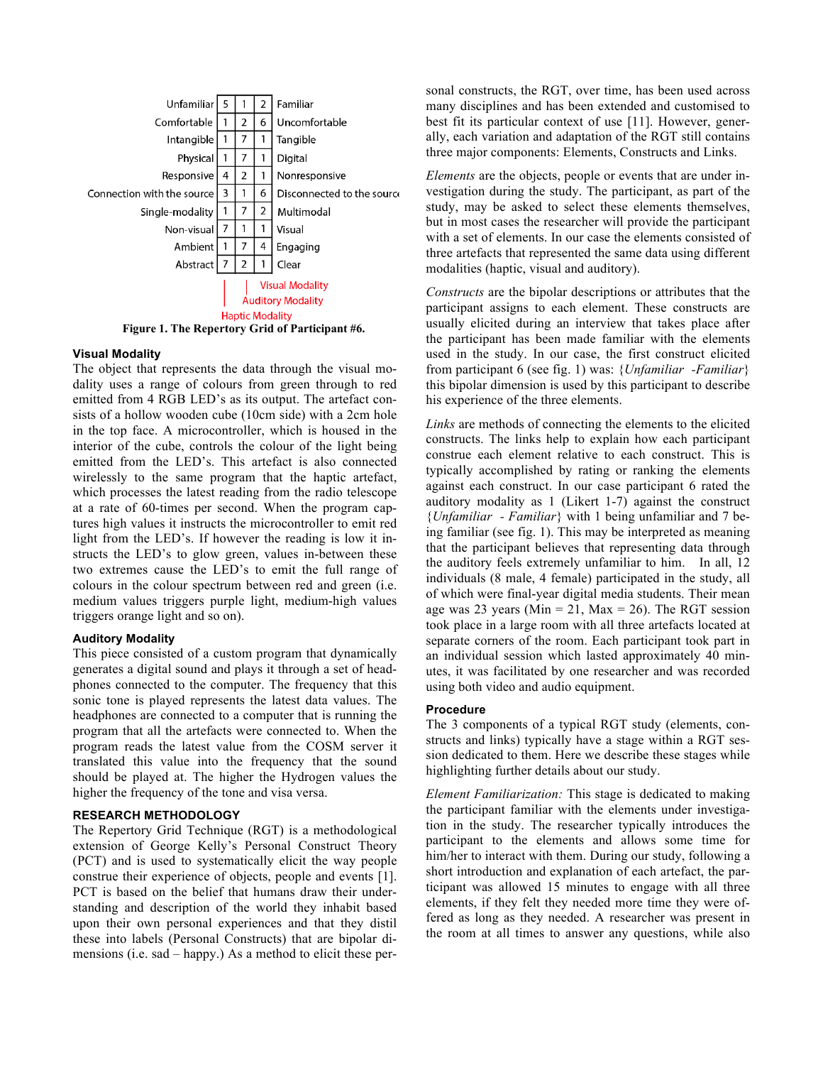

#### **Visual Modality**

The object that represents the data through the visual modality uses a range of colours from green through to red emitted from 4 RGB LED's as its output. The artefact consists of a hollow wooden cube (10cm side) with a 2cm hole in the top face. A microcontroller, which is housed in the interior of the cube, controls the colour of the light being emitted from the LED's. This artefact is also connected wirelessly to the same program that the haptic artefact, which processes the latest reading from the radio telescope at a rate of 60-times per second. When the program captures high values it instructs the microcontroller to emit red light from the LED's. If however the reading is low it instructs the LED's to glow green, values in-between these two extremes cause the LED's to emit the full range of colours in the colour spectrum between red and green (i.e. medium values triggers purple light, medium-high values triggers orange light and so on).

#### **Auditory Modality**

This piece consisted of a custom program that dynamically generates a digital sound and plays it through a set of headphones connected to the computer. The frequency that this sonic tone is played represents the latest data values. The headphones are connected to a computer that is running the program that all the artefacts were connected to. When the program reads the latest value from the COSM server it translated this value into the frequency that the sound should be played at. The higher the Hydrogen values the higher the frequency of the tone and visa versa.

## **RESEARCH METHODOLOGY**

The Repertory Grid Technique (RGT) is a methodological extension of George Kelly's Personal Construct Theory (PCT) and is used to systematically elicit the way people construe their experience of objects, people and events [1]. PCT is based on the belief that humans draw their understanding and description of the world they inhabit based upon their own personal experiences and that they distil these into labels (Personal Constructs) that are bipolar dimensions (i.e. sad – happy.) As a method to elicit these per-

sonal constructs, the RGT, over time, has been used across many disciplines and has been extended and customised to best fit its particular context of use [11]. However, generally, each variation and adaptation of the RGT still contains three major components: Elements, Constructs and Links.

*Elements* are the objects, people or events that are under investigation during the study. The participant, as part of the study, may be asked to select these elements themselves, but in most cases the researcher will provide the participant with a set of elements. In our case the elements consisted of three artefacts that represented the same data using different modalities (haptic, visual and auditory).

*Constructs* are the bipolar descriptions or attributes that the participant assigns to each element. These constructs are usually elicited during an interview that takes place after the participant has been made familiar with the elements used in the study. In our case, the first construct elicited from participant 6 (see fig. 1) was: {*Unfamiliar -Familiar*} this bipolar dimension is used by this participant to describe his experience of the three elements.

*Links* are methods of connecting the elements to the elicited constructs. The links help to explain how each participant construe each element relative to each construct. This is typically accomplished by rating or ranking the elements against each construct. In our case participant 6 rated the auditory modality as 1 (Likert 1-7) against the construct {*Unfamiliar - Familiar*} with 1 being unfamiliar and 7 being familiar (see fig. 1). This may be interpreted as meaning that the participant believes that representing data through the auditory feels extremely unfamiliar to him. In all, 12 individuals (8 male, 4 female) participated in the study, all of which were final-year digital media students. Their mean age was 23 years (Min = 21, Max = 26). The RGT session took place in a large room with all three artefacts located at separate corners of the room. Each participant took part in an individual session which lasted approximately 40 minutes, it was facilitated by one researcher and was recorded using both video and audio equipment.

#### **Procedure**

The 3 components of a typical RGT study (elements, constructs and links) typically have a stage within a RGT session dedicated to them. Here we describe these stages while highlighting further details about our study.

*Element Familiarization:* This stage is dedicated to making the participant familiar with the elements under investigation in the study. The researcher typically introduces the participant to the elements and allows some time for him/her to interact with them. During our study, following a short introduction and explanation of each artefact, the participant was allowed 15 minutes to engage with all three elements, if they felt they needed more time they were offered as long as they needed. A researcher was present in the room at all times to answer any questions, while also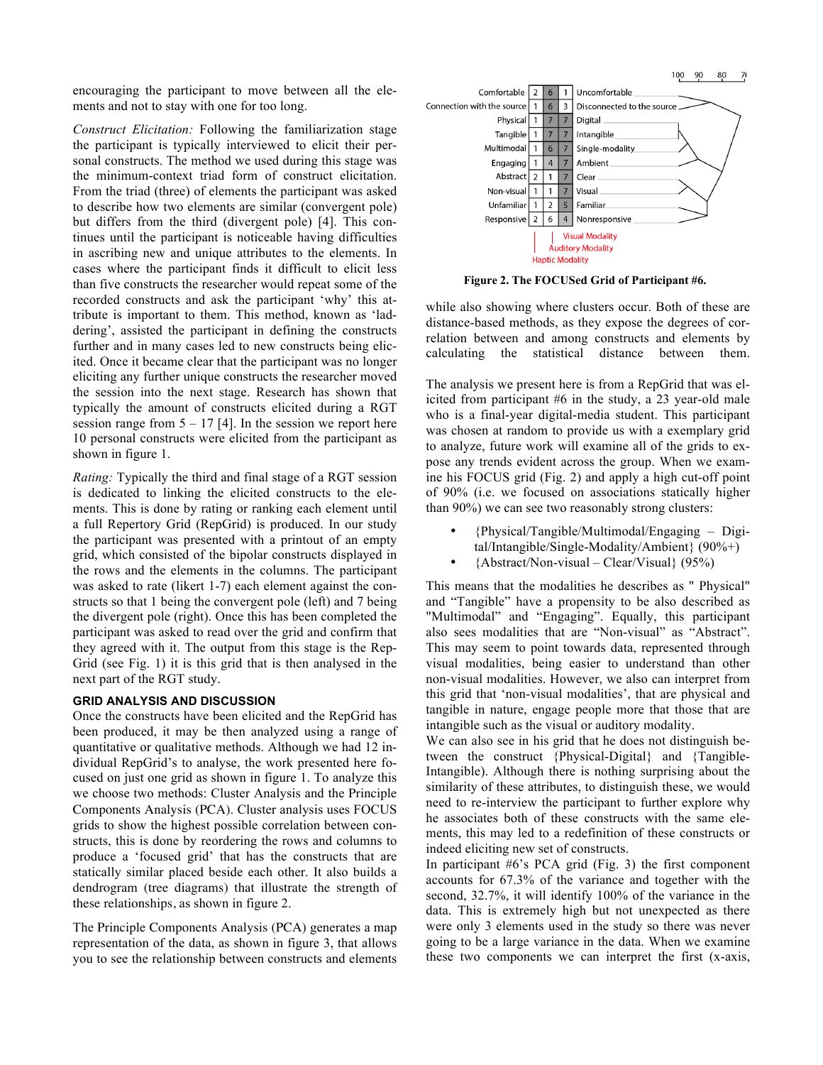encouraging the participant to move between all the elements and not to stay with one for too long.

*Construct Elicitation:* Following the familiarization stage the participant is typically interviewed to elicit their personal constructs. The method we used during this stage was the minimum-context triad form of construct elicitation. From the triad (three) of elements the participant was asked to describe how two elements are similar (convergent pole) but differs from the third (divergent pole) [4]. This continues until the participant is noticeable having difficulties in ascribing new and unique attributes to the elements. In cases where the participant finds it difficult to elicit less than five constructs the researcher would repeat some of the recorded constructs and ask the participant 'why' this attribute is important to them. This method, known as 'laddering', assisted the participant in defining the constructs further and in many cases led to new constructs being elicited. Once it became clear that the participant was no longer eliciting any further unique constructs the researcher moved the session into the next stage. Research has shown that typically the amount of constructs elicited during a RGT session range from  $5 - 17$  [4]. In the session we report here 10 personal constructs were elicited from the participant as shown in figure 1.

*Rating:* Typically the third and final stage of a RGT session is dedicated to linking the elicited constructs to the elements. This is done by rating or ranking each element until a full Repertory Grid (RepGrid) is produced. In our study the participant was presented with a printout of an empty grid, which consisted of the bipolar constructs displayed in the rows and the elements in the columns. The participant was asked to rate (likert 1-7) each element against the constructs so that 1 being the convergent pole (left) and 7 being the divergent pole (right). Once this has been completed the participant was asked to read over the grid and confirm that they agreed with it. The output from this stage is the Rep-Grid (see Fig. 1) it is this grid that is then analysed in the next part of the RGT study.

#### **GRID ANALYSIS AND DISCUSSION**

Once the constructs have been elicited and the RepGrid has been produced, it may be then analyzed using a range of quantitative or qualitative methods. Although we had 12 individual RepGrid's to analyse, the work presented here focused on just one grid as shown in figure 1. To analyze this we choose two methods: Cluster Analysis and the Principle Components Analysis (PCA). Cluster analysis uses FOCUS grids to show the highest possible correlation between constructs, this is done by reordering the rows and columns to produce a 'focused grid' that has the constructs that are statically similar placed beside each other. It also builds a dendrogram (tree diagrams) that illustrate the strength of these relationships, as shown in figure 2.

The Principle Components Analysis (PCA) generates a map representation of the data, as shown in figure 3, that allows you to see the relationship between constructs and elements



**Figure 2. The FOCUSed Grid of Participant #6.**

while also showing where clusters occur. Both of these are distance-based methods, as they expose the degrees of correlation between and among constructs and elements by calculating the statistical distance between them.

The analysis we present here is from a RepGrid that was elicited from participant #6 in the study, a 23 year-old male who is a final-year digital-media student. This participant was chosen at random to provide us with a exemplary grid to analyze, future work will examine all of the grids to expose any trends evident across the group. When we examine his FOCUS grid (Fig. 2) and apply a high cut-off point of 90% (i.e. we focused on associations statically higher than 90%) we can see two reasonably strong clusters:

- {Physical/Tangible/Multimodal/Engaging Digital/Intangible/Single-Modality/Ambient} (90%+)
- {Abstract/Non-visual Clear/Visual} (95%)

This means that the modalities he describes as " Physical" and "Tangible" have a propensity to be also described as "Multimodal" and "Engaging". Equally, this participant also sees modalities that are "Non-visual" as "Abstract". This may seem to point towards data, represented through visual modalities, being easier to understand than other non-visual modalities. However, we also can interpret from this grid that 'non-visual modalities', that are physical and tangible in nature, engage people more that those that are intangible such as the visual or auditory modality.

We can also see in his grid that he does not distinguish between the construct {Physical-Digital} and {Tangible-Intangible). Although there is nothing surprising about the similarity of these attributes, to distinguish these, we would need to re-interview the participant to further explore why he associates both of these constructs with the same elements, this may led to a redefinition of these constructs or indeed eliciting new set of constructs.

In participant #6's PCA grid (Fig. 3) the first component accounts for 67.3% of the variance and together with the second, 32.7%, it will identify 100% of the variance in the data. This is extremely high but not unexpected as there were only 3 elements used in the study so there was never going to be a large variance in the data. When we examine these two components we can interpret the first (x-axis,